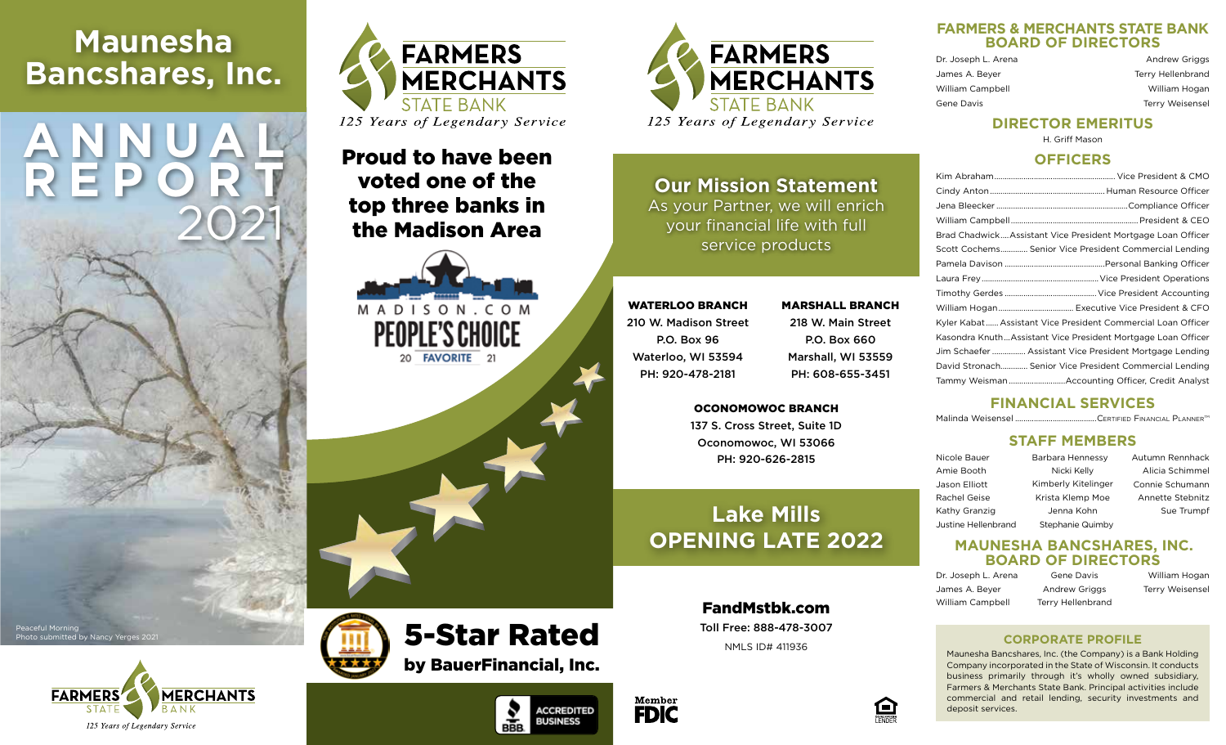# **Maunesha Bancshares, Inc.**

**ANNUAL**

**REPORT**

2021



# Proud to have been voted one of the top three banks in the Madison Area

MADISON, COM **FAVORITE** 21





**Our Mission Statement** As your Partner, we will enrich your financial life with full service products

WATERLOO BRANCH 210 W. Madison Street P.O. Box 96 Waterloo, WI 53594 PH: 920-478-2181

218 W. Main Street P.O. Box 660 Marshall, WI 53559 PH: 608-655-3451

MARSHALL BRANCH

#### OCONOMOWOC BRANCH

137 S. Cross Street, Suite 1D Oconomowoc, WI 53066 PH: 920-626-2815

# **Lake Mills OPENING LATE 2022**

FandMstbk.com Toll Free: 888-478-3007 NMLS ID# 411936



**ACCREDITED** 

**BUSINESS** 

**BBB** 

#### **FARMERS & MERCHANTS STATE BANK BOARD OF DIRECTORS**

| Dr. Joseph L. Arena | <b>Andrew Griggs</b>   |
|---------------------|------------------------|
| James A. Beyer      | Terry Hellenbrand      |
| William Campbell    | William Hogan          |
| Gene Davis          | <b>Terry Weisensel</b> |

## **DIRECTOR EMERITUS**

H. Griff Mason

#### **OFFICERS**

| Brad Chadwick Assistant Vice President Mortgage Loan Officer |
|--------------------------------------------------------------|
| Scott Cochems Senior Vice President Commercial Lending       |
|                                                              |
|                                                              |
|                                                              |
|                                                              |
| Kyler Kabat Assistant Vice President Commercial Loan Officer |
| Kasondra KnuthAssistant Vice President Mortgage Loan Officer |
| Jim Schaefer  Assistant Vice President Mortgage Lending      |
| David Stronach Senior Vice President Commercial Lending      |
| Tammy Weisman Accounting Officer, Credit Analyst             |
|                                                              |

## **FINANCIAL SERVICES**

Malinda Weisensel .......................................Certified Financial PlannerTM

### **STAFF MEMBERS**

Nicole Bauer Amie Booth Jason Elliott Rachel Geise Barbara Hennessy Nicki Kelly Kimberly Kitelinger Krista Klemp Moe Jenna Kohn Stephanie Quimby Autumn Rennhack

### **MAUNESHA BANCSHARES, INC. BOARD OF DIRECTORS**

Dr. Joseph L. Arena Gene Davis William Hogan William Campbell Terry Hellenbrand

James A. Beyer **Andrew Griggs** Terry Weisensel

# **CORPORATE PROFILE**

Maunesha Bancshares, Inc. (the Company) is a Bank Holding Company incorporated in the State of Wisconsin. It conducts business primarily through it's wholly owned subsidiary, Farmers & Merchants State Bank. Principal activities include commercial and retail lending, security investments and deposit services.



Peaceful Morning

Photo submitted by Nancy Yerges 2021

# 5-Star Rated by BauerFinancial, Inc.



Kathy Granzig Justine Hellenbrand

魚

Alicia Schimmel Connie Schumann Annette Stebnitz Sue Trumpf